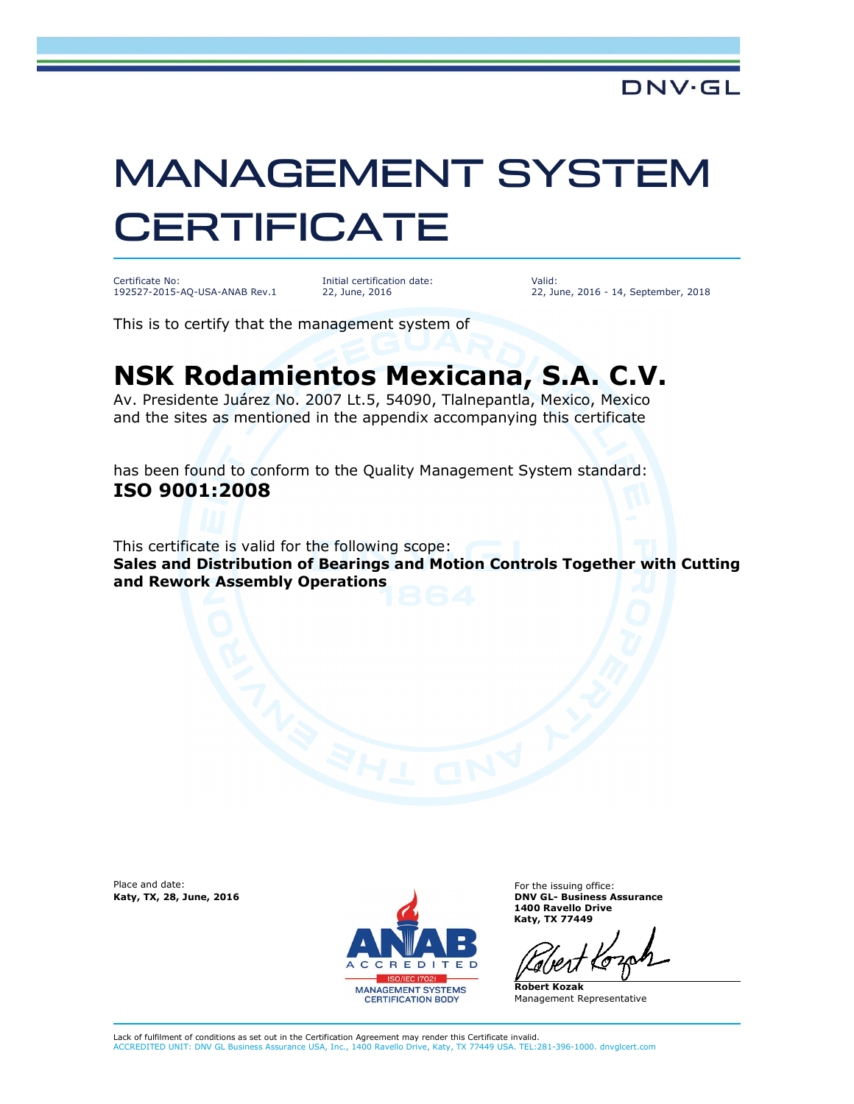## MANAGEMENT SYSTEM **CERTIFICATE**

Certificate No: 192527-2015-AQ-USA-ANAB Rev.1 Initial certification date: 22, June, 2016

Valid: 22, June, 2016 - 14, September, 2018

This is to certify that the management system of

## **NSK Rodamientos Mexicana, S.A. C.V.**

Av. Presidente Juárez No. 2007 Lt.5, 54090, Tlalnepantla, Mexico, Mexico and the sites as mentioned in the appendix accompanying this certificate

has been found to conform to the Quality Management System standard: **ISO 9001:2008** 

This certificate is valid for the following scope: **Sales and Distribution of Bearings and Motion Controls Together with Cutting and Rework Assembly Operations** 

Place and date:



For the issuing office: **1400 Ravello Drive Katy, TX 77449**

**Robert Kozak** Management Representative

Lack of fulfilment of conditions as set out in the Certification Agreement may render this Certificate invalid. ACCREDITED UNIT: DNV GL Business Assurance USA, Inc., 1400 Ravello Drive, Katy, TX 77449 USA. TEL:281-396-1000. dnvglcert.com